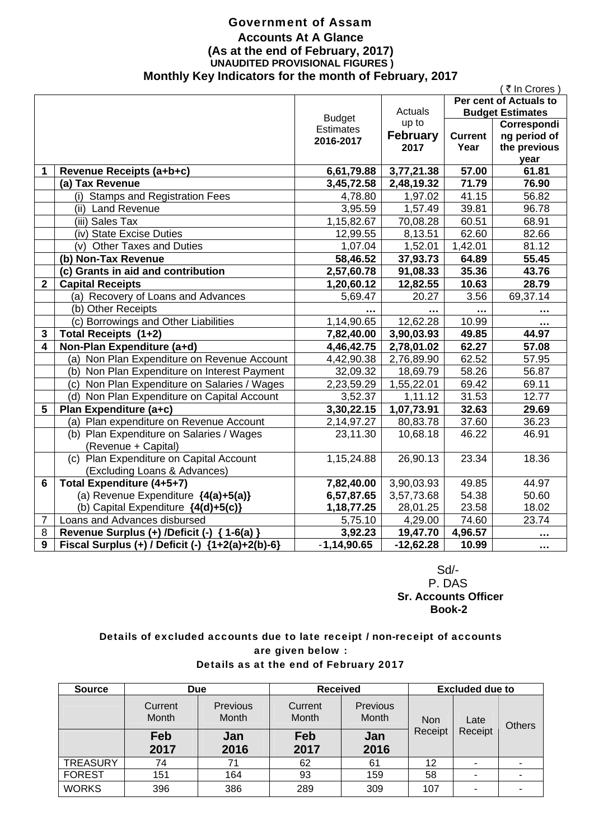### Government of Assam **Accounts At A Glance (As at the end of February, 2017) UNAUDITED PROVISIONAL FIGURES ) Monthly Key Indicators for the month of February, 2017**

|                                                    |                                                                                                                                                                                                                                                                                                                                                                                                                                                                                                                                     |                                                                                                                                                                                                                                     |                                                                                                                                                                                                                                           | (₹In Crores                                                                                                      |
|----------------------------------------------------|-------------------------------------------------------------------------------------------------------------------------------------------------------------------------------------------------------------------------------------------------------------------------------------------------------------------------------------------------------------------------------------------------------------------------------------------------------------------------------------------------------------------------------------|-------------------------------------------------------------------------------------------------------------------------------------------------------------------------------------------------------------------------------------|-------------------------------------------------------------------------------------------------------------------------------------------------------------------------------------------------------------------------------------------|------------------------------------------------------------------------------------------------------------------|
|                                                    |                                                                                                                                                                                                                                                                                                                                                                                                                                                                                                                                     |                                                                                                                                                                                                                                     | Per cent of Actuals to                                                                                                                                                                                                                    |                                                                                                                  |
|                                                    |                                                                                                                                                                                                                                                                                                                                                                                                                                                                                                                                     |                                                                                                                                                                                                                                     |                                                                                                                                                                                                                                           | <b>Budget Estimates</b>                                                                                          |
|                                                    |                                                                                                                                                                                                                                                                                                                                                                                                                                                                                                                                     |                                                                                                                                                                                                                                     |                                                                                                                                                                                                                                           | Correspondi                                                                                                      |
|                                                    |                                                                                                                                                                                                                                                                                                                                                                                                                                                                                                                                     |                                                                                                                                                                                                                                     |                                                                                                                                                                                                                                           | ng period of                                                                                                     |
|                                                    |                                                                                                                                                                                                                                                                                                                                                                                                                                                                                                                                     |                                                                                                                                                                                                                                     |                                                                                                                                                                                                                                           | the previous                                                                                                     |
|                                                    |                                                                                                                                                                                                                                                                                                                                                                                                                                                                                                                                     |                                                                                                                                                                                                                                     |                                                                                                                                                                                                                                           | year                                                                                                             |
|                                                    |                                                                                                                                                                                                                                                                                                                                                                                                                                                                                                                                     |                                                                                                                                                                                                                                     |                                                                                                                                                                                                                                           | 61.81                                                                                                            |
|                                                    |                                                                                                                                                                                                                                                                                                                                                                                                                                                                                                                                     |                                                                                                                                                                                                                                     |                                                                                                                                                                                                                                           | 76.90                                                                                                            |
|                                                    |                                                                                                                                                                                                                                                                                                                                                                                                                                                                                                                                     |                                                                                                                                                                                                                                     |                                                                                                                                                                                                                                           | 56.82                                                                                                            |
|                                                    |                                                                                                                                                                                                                                                                                                                                                                                                                                                                                                                                     |                                                                                                                                                                                                                                     |                                                                                                                                                                                                                                           | 96.78                                                                                                            |
|                                                    |                                                                                                                                                                                                                                                                                                                                                                                                                                                                                                                                     |                                                                                                                                                                                                                                     |                                                                                                                                                                                                                                           | 68.91                                                                                                            |
| (iv) State Excise Duties                           |                                                                                                                                                                                                                                                                                                                                                                                                                                                                                                                                     |                                                                                                                                                                                                                                     |                                                                                                                                                                                                                                           | 82.66                                                                                                            |
| (v) Other Taxes and Duties                         | 1,07.04                                                                                                                                                                                                                                                                                                                                                                                                                                                                                                                             | 1,52.01                                                                                                                                                                                                                             | 1,42.01                                                                                                                                                                                                                                   | 81.12                                                                                                            |
| (b) Non-Tax Revenue                                | 58,46.52                                                                                                                                                                                                                                                                                                                                                                                                                                                                                                                            | 37,93.73                                                                                                                                                                                                                            | 64.89                                                                                                                                                                                                                                     | 55.45                                                                                                            |
| (c) Grants in aid and contribution                 | 2,57,60.78                                                                                                                                                                                                                                                                                                                                                                                                                                                                                                                          | 91,08.33                                                                                                                                                                                                                            | 35.36                                                                                                                                                                                                                                     | 43.76                                                                                                            |
| <b>Capital Receipts</b>                            | 1,20,60.12                                                                                                                                                                                                                                                                                                                                                                                                                                                                                                                          | 12,82.55                                                                                                                                                                                                                            | 10.63                                                                                                                                                                                                                                     | 28.79                                                                                                            |
| (a) Recovery of Loans and Advances                 | 5,69.47                                                                                                                                                                                                                                                                                                                                                                                                                                                                                                                             | 20.27                                                                                                                                                                                                                               | 3.56                                                                                                                                                                                                                                      | 69,37.14                                                                                                         |
| (b) Other Receipts                                 |                                                                                                                                                                                                                                                                                                                                                                                                                                                                                                                                     |                                                                                                                                                                                                                                     | $\ddotsc$                                                                                                                                                                                                                                 | .                                                                                                                |
|                                                    |                                                                                                                                                                                                                                                                                                                                                                                                                                                                                                                                     | 12,62.28                                                                                                                                                                                                                            | 10.99                                                                                                                                                                                                                                     |                                                                                                                  |
| Total Receipts (1+2)                               | 7,82,40.00                                                                                                                                                                                                                                                                                                                                                                                                                                                                                                                          |                                                                                                                                                                                                                                     | 49.85                                                                                                                                                                                                                                     | 44.97                                                                                                            |
|                                                    | 4,46,42.75                                                                                                                                                                                                                                                                                                                                                                                                                                                                                                                          | 2,78,01.02                                                                                                                                                                                                                          | 62.27                                                                                                                                                                                                                                     | 57.08                                                                                                            |
|                                                    |                                                                                                                                                                                                                                                                                                                                                                                                                                                                                                                                     |                                                                                                                                                                                                                                     | 62.52                                                                                                                                                                                                                                     | 57.95                                                                                                            |
|                                                    |                                                                                                                                                                                                                                                                                                                                                                                                                                                                                                                                     |                                                                                                                                                                                                                                     | 58.26                                                                                                                                                                                                                                     | 56.87                                                                                                            |
|                                                    |                                                                                                                                                                                                                                                                                                                                                                                                                                                                                                                                     |                                                                                                                                                                                                                                     | 69.42                                                                                                                                                                                                                                     | 69.11                                                                                                            |
|                                                    |                                                                                                                                                                                                                                                                                                                                                                                                                                                                                                                                     |                                                                                                                                                                                                                                     |                                                                                                                                                                                                                                           | 12.77                                                                                                            |
|                                                    |                                                                                                                                                                                                                                                                                                                                                                                                                                                                                                                                     |                                                                                                                                                                                                                                     |                                                                                                                                                                                                                                           | 29.69                                                                                                            |
|                                                    |                                                                                                                                                                                                                                                                                                                                                                                                                                                                                                                                     |                                                                                                                                                                                                                                     |                                                                                                                                                                                                                                           | 36.23                                                                                                            |
|                                                    |                                                                                                                                                                                                                                                                                                                                                                                                                                                                                                                                     |                                                                                                                                                                                                                                     |                                                                                                                                                                                                                                           | 46.91                                                                                                            |
|                                                    |                                                                                                                                                                                                                                                                                                                                                                                                                                                                                                                                     |                                                                                                                                                                                                                                     |                                                                                                                                                                                                                                           |                                                                                                                  |
| (c) Plan Expenditure on Capital Account            | 1,15,24.88                                                                                                                                                                                                                                                                                                                                                                                                                                                                                                                          | 26,90.13                                                                                                                                                                                                                            | 23.34                                                                                                                                                                                                                                     | 18.36                                                                                                            |
| (Excluding Loans & Advances)                       |                                                                                                                                                                                                                                                                                                                                                                                                                                                                                                                                     |                                                                                                                                                                                                                                     |                                                                                                                                                                                                                                           |                                                                                                                  |
| Total Expenditure (4+5+7)                          | 7,82,40.00                                                                                                                                                                                                                                                                                                                                                                                                                                                                                                                          | 3,90,03.93                                                                                                                                                                                                                          | 49.85                                                                                                                                                                                                                                     | 44.97                                                                                                            |
| (a) Revenue Expenditure {4(a)+5(a)}                | 6,57,87.65                                                                                                                                                                                                                                                                                                                                                                                                                                                                                                                          | 3,57,73.68                                                                                                                                                                                                                          | 54.38                                                                                                                                                                                                                                     | 50.60                                                                                                            |
| (b) Capital Expenditure {4(d)+5(c)}                | 1, 18, 77. 25                                                                                                                                                                                                                                                                                                                                                                                                                                                                                                                       | 28,01.25                                                                                                                                                                                                                            | 23.58                                                                                                                                                                                                                                     | 18.02                                                                                                            |
| Loans and Advances disbursed                       | 5,75.10                                                                                                                                                                                                                                                                                                                                                                                                                                                                                                                             | 4,29.00                                                                                                                                                                                                                             | 74.60                                                                                                                                                                                                                                     | 23.74                                                                                                            |
| Revenue Surplus (+) /Deficit (-) { 1-6(a) }        | 3,92.23                                                                                                                                                                                                                                                                                                                                                                                                                                                                                                                             | 19,47.70                                                                                                                                                                                                                            | 4,96.57                                                                                                                                                                                                                                   |                                                                                                                  |
| Fiscal Surplus (+) / Deficit (-) ${1+2(a)+2(b)-6}$ | $-1,14,90.65$                                                                                                                                                                                                                                                                                                                                                                                                                                                                                                                       | $-12,62.28$                                                                                                                                                                                                                         | 10.99                                                                                                                                                                                                                                     |                                                                                                                  |
|                                                    | Revenue Receipts (a+b+c)<br>(a) Tax Revenue<br>(i) Stamps and Registration Fees<br>(ii) Land Revenue<br>(iii) Sales Tax<br>(c) Borrowings and Other Liabilities<br>Non-Plan Expenditure (a+d)<br>(a) Non Plan Expenditure on Revenue Account<br>(b) Non Plan Expenditure on Interest Payment<br>(c) Non Plan Expenditure on Salaries / Wages<br>(d) Non Plan Expenditure on Capital Account<br>Plan Expenditure (a+c)<br>(a) Plan expenditure on Revenue Account<br>(b) Plan Expenditure on Salaries / Wages<br>(Revenue + Capital) | <b>Budget</b><br><b>Estimates</b><br>2016-2017<br>6,61,79.88<br>3,45,72.58<br>4,78.80<br>3,95.59<br>1,15,82.67<br>12,99.55<br>1,14,90.65<br>4,42,90.38<br>32,09.32<br>2,23,59.29<br>3,52.37<br>3,30,22.15<br>2,14,97.27<br>23,11.30 | Actuals<br>up to<br><b>February</b><br>2017<br>3,77,21.38<br>2,48,19.32<br>1,97.02<br>1,57.49<br>70,08.28<br>8,13.51<br>3,90,03.93<br>2,76,89.90<br>18,69.79<br>1,55,22.01<br>$\overline{1}, 11.12$<br>1,07,73.91<br>80,83.78<br>10,68.18 | <b>Current</b><br>Year<br>57.00<br>71.79<br>41.15<br>39.81<br>60.51<br>62.60<br>31.53<br>32.63<br>37.60<br>46.22 |

 Sd/- P. DAS  **Sr. Accounts Officer Book-2** 

### Details of excluded accounts due to late receipt / non-receipt of accounts are given below : Details as at the end of February 2017

| <b>Source</b>   | <b>Due</b>       |                                 | <b>Received</b>  |                   | <b>Excluded due to</b> |         |  |               |
|-----------------|------------------|---------------------------------|------------------|-------------------|------------------------|---------|--|---------------|
|                 | Current<br>Month | <b>Previous</b><br><b>Month</b> | Current<br>Month | Previous<br>Month | <b>Non</b><br>Receipt  | Late    |  | <b>Others</b> |
|                 | Feb<br>2017      | Jan<br>2016                     | Feb<br>2017      | Jan<br>2016       |                        | Receipt |  |               |
| <b>TREASURY</b> | 74               | 71                              | 62               | 61                | 12                     |         |  |               |
| <b>FOREST</b>   | 151              | 164                             | 93               | 159               | 58                     | ٠       |  |               |
| <b>WORKS</b>    | 396              | 386                             | 289              | 309               | 107                    | ۰       |  |               |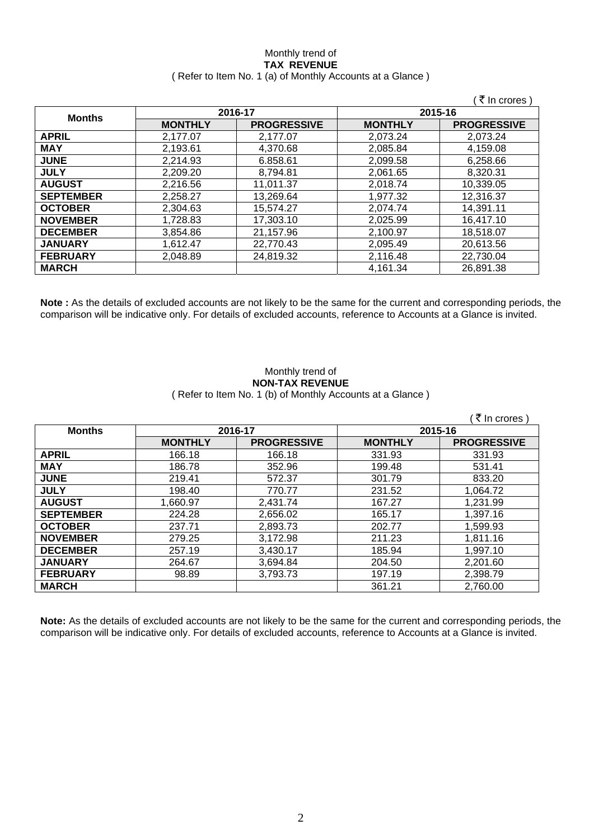### Monthly trend of **TAX REVENUE**  ( Refer to Item No. 1 (a) of Monthly Accounts at a Glance )

|                  |                |                    |                | (₹ In crores)      |
|------------------|----------------|--------------------|----------------|--------------------|
| <b>Months</b>    |                | 2016-17            | 2015-16        |                    |
|                  | <b>MONTHLY</b> | <b>PROGRESSIVE</b> | <b>MONTHLY</b> | <b>PROGRESSIVE</b> |
| <b>APRIL</b>     | 2,177.07       | 2,177.07           | 2,073.24       | 2.073.24           |
| <b>MAY</b>       | 2,193.61       | 4,370.68           | 2,085.84       | 4,159.08           |
| <b>JUNE</b>      | 2,214.93       | 6.858.61           | 2,099.58       | 6,258.66           |
| <b>JULY</b>      | 2,209.20       | 8,794.81           | 2,061.65       | 8,320.31           |
| <b>AUGUST</b>    | 2,216.56       | 11,011.37          | 2,018.74       | 10,339.05          |
| <b>SEPTEMBER</b> | 2,258.27       | 13,269.64          | 1,977.32       | 12,316.37          |
| <b>OCTOBER</b>   | 2,304.63       | 15,574.27          | 2,074.74       | 14,391.11          |
| <b>NOVEMBER</b>  | 1,728.83       | 17,303.10          | 2,025.99       | 16,417.10          |
| <b>DECEMBER</b>  | 3,854.86       | 21,157.96          | 2,100.97       | 18,518.07          |
| <b>JANUARY</b>   | 1,612.47       | 22,770.43          | 2,095.49       | 20,613.56          |
| <b>FEBRUARY</b>  | 2,048.89       | 24,819.32          | 2,116.48       | 22,730.04          |
| <b>MARCH</b>     |                |                    | 4,161.34       | 26,891.38          |

**Note :** As the details of excluded accounts are not likely to be the same for the current and corresponding periods, the comparison will be indicative only. For details of excluded accounts, reference to Accounts at a Glance is invited.

### Monthly trend of **NON-TAX REVENUE**  ( Refer to Item No. 1 (b) of Monthly Accounts at a Glance )

| <b>Months</b>    | 2016-17        |                    |                | 2015-16            |
|------------------|----------------|--------------------|----------------|--------------------|
|                  | <b>MONTHLY</b> | <b>PROGRESSIVE</b> | <b>MONTHLY</b> | <b>PROGRESSIVE</b> |
| <b>APRIL</b>     | 166.18         | 166.18             | 331.93         | 331.93             |
| <b>MAY</b>       | 186.78         | 352.96             | 199.48         | 531.41             |
| <b>JUNE</b>      | 219.41         | 572.37             | 301.79         | 833.20             |
| <b>JULY</b>      | 198.40         | 770.77             | 231.52         | 1,064.72           |
| <b>AUGUST</b>    | 1,660.97       | 2,431.74           | 167.27         | 1,231.99           |
| <b>SEPTEMBER</b> | 224.28         | 2,656.02           | 165.17         | 1,397.16           |
| <b>OCTOBER</b>   | 237.71         | 2,893.73           | 202.77         | 1,599.93           |
| <b>NOVEMBER</b>  | 279.25         | 3,172.98           | 211.23         | 1,811.16           |
| <b>DECEMBER</b>  | 257.19         | 3,430.17           | 185.94         | 1,997.10           |
| <b>JANUARY</b>   | 264.67         | 3,694.84           | 204.50         | 2,201.60           |
| <b>FEBRUARY</b>  | 98.89          | 3,793.73           | 197.19         | 2,398.79           |
| <b>MARCH</b>     |                |                    | 361.21         | 2,760.00           |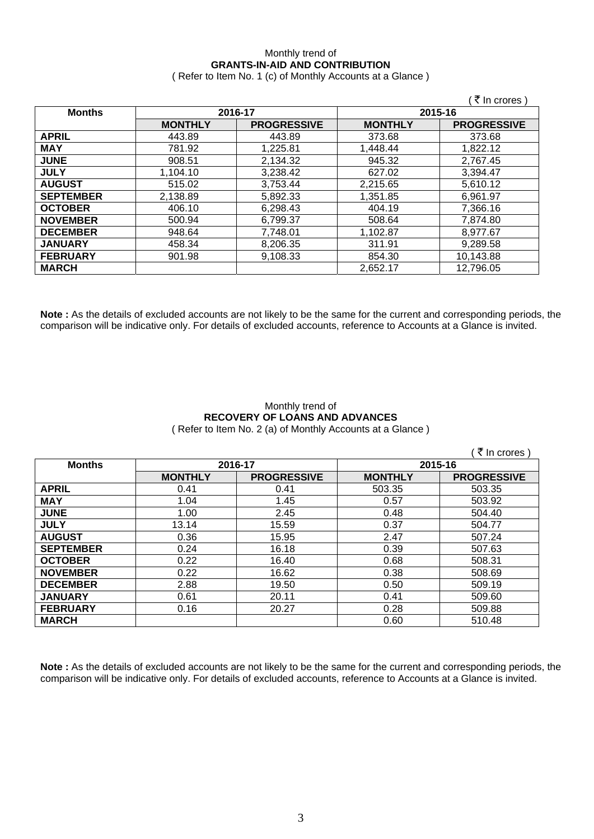## Monthly trend of **GRANTS-IN-AID AND CONTRIBUTION**

( Refer to Item No. 1 (c) of Monthly Accounts at a Glance )

|                  |                |                    |                | ∶₹ In crores )     |
|------------------|----------------|--------------------|----------------|--------------------|
| <b>Months</b>    | 2016-17        |                    |                | 2015-16            |
|                  | <b>MONTHLY</b> | <b>PROGRESSIVE</b> | <b>MONTHLY</b> | <b>PROGRESSIVE</b> |
| <b>APRIL</b>     | 443.89         | 443.89             | 373.68         | 373.68             |
| <b>MAY</b>       | 781.92         | 1,225.81           | 1,448.44       | 1,822.12           |
| <b>JUNE</b>      | 908.51         | 2,134.32           | 945.32         | 2,767.45           |
| <b>JULY</b>      | 1,104.10       | 3,238.42           | 627.02         | 3,394.47           |
| <b>AUGUST</b>    | 515.02         | 3,753.44           | 2,215.65       | 5,610.12           |
| <b>SEPTEMBER</b> | 2,138.89       | 5,892.33           | 1,351.85       | 6,961.97           |
| <b>OCTOBER</b>   | 406.10         | 6,298.43           | 404.19         | 7,366.16           |
| <b>NOVEMBER</b>  | 500.94         | 6,799.37           | 508.64         | 7,874.80           |
| <b>DECEMBER</b>  | 948.64         | 7,748.01           | 1,102.87       | 8,977.67           |
| <b>JANUARY</b>   | 458.34         | 8,206.35           | 311.91         | 9,289.58           |
| <b>FEBRUARY</b>  | 901.98         | 9,108.33           | 854.30         | 10,143.88          |
| <b>MARCH</b>     |                |                    | 2,652.17       | 12,796.05          |

**Note :** As the details of excluded accounts are not likely to be the same for the current and corresponding periods, the comparison will be indicative only. For details of excluded accounts, reference to Accounts at a Glance is invited.

### Monthly trend of **RECOVERY OF LOANS AND ADVANCES**  ( Refer to Item No. 2 (a) of Monthly Accounts at a Glance )

|                  |                |                    |                | ₹ In crores        |
|------------------|----------------|--------------------|----------------|--------------------|
| <b>Months</b>    | 2016-17        |                    | 2015-16        |                    |
|                  | <b>MONTHLY</b> | <b>PROGRESSIVE</b> | <b>MONTHLY</b> | <b>PROGRESSIVE</b> |
| <b>APRIL</b>     | 0.41           | 0.41               | 503.35         | 503.35             |
| <b>MAY</b>       | 1.04           | 1.45               | 0.57           | 503.92             |
| <b>JUNE</b>      | 1.00           | 2.45               | 0.48           | 504.40             |
| <b>JULY</b>      | 13.14          | 15.59              | 0.37           | 504.77             |
| <b>AUGUST</b>    | 0.36           | 15.95              | 2.47           | 507.24             |
| <b>SEPTEMBER</b> | 0.24           | 16.18              | 0.39           | 507.63             |
| <b>OCTOBER</b>   | 0.22           | 16.40              | 0.68           | 508.31             |
| <b>NOVEMBER</b>  | 0.22           | 16.62              | 0.38           | 508.69             |
| <b>DECEMBER</b>  | 2.88           | 19.50              | 0.50           | 509.19             |
| <b>JANUARY</b>   | 0.61           | 20.11              | 0.41           | 509.60             |
| <b>FEBRUARY</b>  | 0.16           | 20.27              | 0.28           | 509.88             |
| <b>MARCH</b>     |                |                    | 0.60           | 510.48             |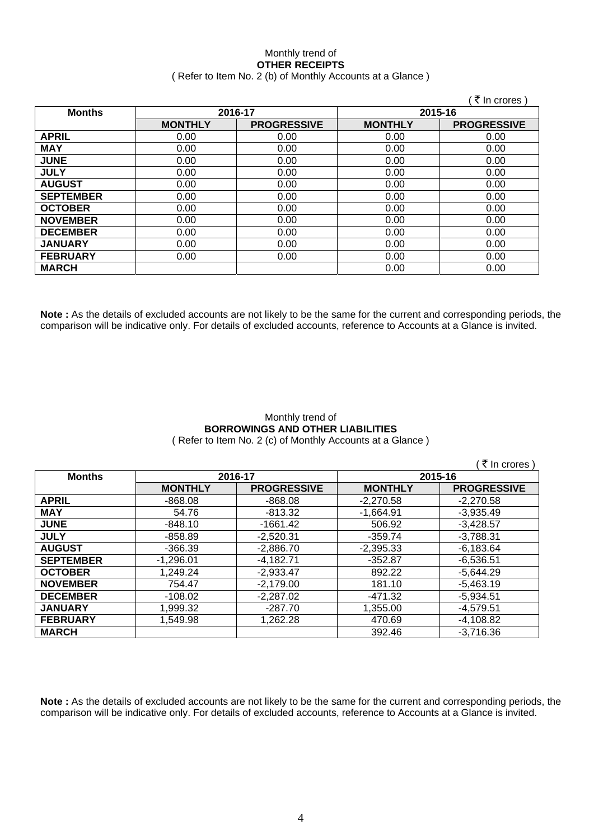### Monthly trend of **OTHER RECEIPTS**  ( Refer to Item No. 2 (b) of Monthly Accounts at a Glance )

|                  |                |                    |                | ∶ ₹ In crores )    |
|------------------|----------------|--------------------|----------------|--------------------|
| <b>Months</b>    | 2016-17        |                    | 2015-16        |                    |
|                  | <b>MONTHLY</b> | <b>PROGRESSIVE</b> | <b>MONTHLY</b> | <b>PROGRESSIVE</b> |
| <b>APRIL</b>     | 0.00           | 0.00               | 0.00           | 0.00               |
| <b>MAY</b>       | 0.00           | 0.00               | 0.00           | 0.00               |
| <b>JUNE</b>      | 0.00           | 0.00               | 0.00           | 0.00               |
| <b>JULY</b>      | 0.00           | 0.00               | 0.00           | 0.00               |
| <b>AUGUST</b>    | 0.00           | 0.00               | 0.00           | 0.00               |
| <b>SEPTEMBER</b> | 0.00           | 0.00               | 0.00           | 0.00               |
| <b>OCTOBER</b>   | 0.00           | 0.00               | 0.00           | 0.00               |
| <b>NOVEMBER</b>  | 0.00           | 0.00               | 0.00           | 0.00               |
| <b>DECEMBER</b>  | 0.00           | 0.00               | 0.00           | 0.00               |
| <b>JANUARY</b>   | 0.00           | 0.00               | 0.00           | 0.00               |
| <b>FEBRUARY</b>  | 0.00           | 0.00               | 0.00           | 0.00               |
| <b>MARCH</b>     |                |                    | 0.00           | 0.00               |

**Note :** As the details of excluded accounts are not likely to be the same for the current and corresponding periods, the comparison will be indicative only. For details of excluded accounts, reference to Accounts at a Glance is invited.

#### Monthly trend of **BORROWINGS AND OTHER LIABILITIES**  ( Refer to Item No. 2 (c) of Monthly Accounts at a Glance )

|                  |                |                    |                | ( ₹ In crores)     |
|------------------|----------------|--------------------|----------------|--------------------|
| <b>Months</b>    | 2016-17        |                    | 2015-16        |                    |
|                  | <b>MONTHLY</b> | <b>PROGRESSIVE</b> | <b>MONTHLY</b> | <b>PROGRESSIVE</b> |
| <b>APRIL</b>     | $-868.08$      | $-868.08$          | $-2,270.58$    | $-2,270.58$        |
| <b>MAY</b>       | 54.76          | $-813.32$          | $-1,664.91$    | $-3,935.49$        |
| <b>JUNE</b>      | $-848.10$      | $-1661.42$         | 506.92         | $-3,428.57$        |
| <b>JULY</b>      | $-858.89$      | $-2,520.31$        | $-359.74$      | $-3,788.31$        |
| <b>AUGUST</b>    | $-366.39$      | $-2,886.70$        | $-2,395.33$    | $-6,183.64$        |
| <b>SEPTEMBER</b> | $-1,296.01$    | $-4.182.71$        | $-352.87$      | $-6,536.51$        |
| <b>OCTOBER</b>   | 1,249.24       | $-2,933.47$        | 892.22         | $-5,644.29$        |
| <b>NOVEMBER</b>  | 754.47         | $-2,179.00$        | 181.10         | $-5,463.19$        |
| <b>DECEMBER</b>  | $-108.02$      | $-2,287.02$        | -471.32        | $-5,934.51$        |
| <b>JANUARY</b>   | 1,999.32       | $-287.70$          | 1,355.00       | $-4,579.51$        |
| <b>FEBRUARY</b>  | 1,549.98       | 1,262.28           | 470.69         | $-4,108.82$        |
| <b>MARCH</b>     |                |                    | 392.46         | $-3,716.36$        |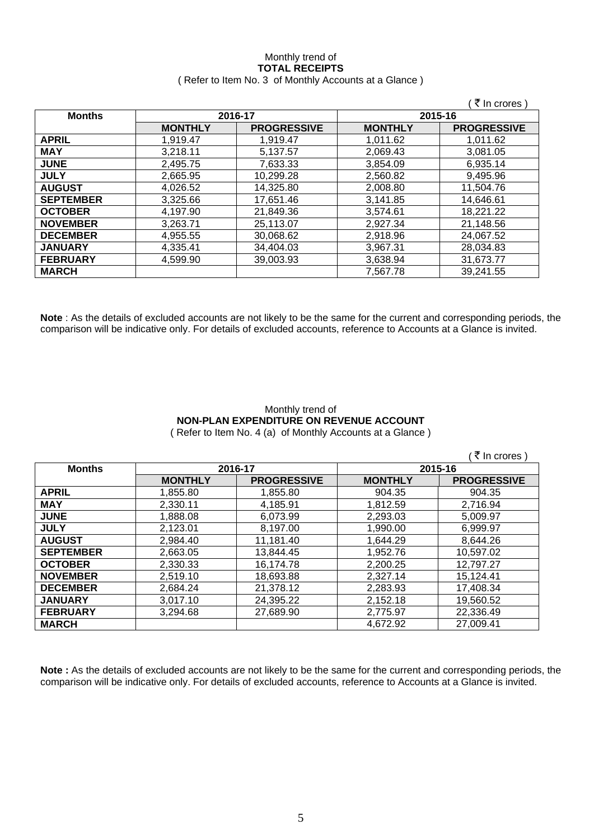### Monthly trend of **TOTAL RECEIPTS**  ( Refer to Item No. 3 of Monthly Accounts at a Glance )

|                  |                |                    |                | (₹ In crores)      |
|------------------|----------------|--------------------|----------------|--------------------|
| <b>Months</b>    |                | 2016-17            |                | 2015-16            |
|                  | <b>MONTHLY</b> | <b>PROGRESSIVE</b> | <b>MONTHLY</b> | <b>PROGRESSIVE</b> |
| APRIL            | 1,919.47       | 1,919.47           | 1,011.62       | 1,011.62           |
| <b>MAY</b>       | 3,218.11       | 5,137.57           | 2,069.43       | 3,081.05           |
| <b>JUNE</b>      | 2,495.75       | 7,633.33           | 3,854.09       | 6,935.14           |
| <b>JULY</b>      | 2,665.95       | 10,299.28          | 2,560.82       | 9,495.96           |
| <b>AUGUST</b>    | 4,026.52       | 14,325.80          | 2,008.80       | 11,504.76          |
| <b>SEPTEMBER</b> | 3,325.66       | 17,651.46          | 3,141.85       | 14,646.61          |
| <b>OCTOBER</b>   | 4,197.90       | 21,849.36          | 3,574.61       | 18,221.22          |
| <b>NOVEMBER</b>  | 3,263.71       | 25,113.07          | 2,927.34       | 21,148.56          |
| <b>DECEMBER</b>  | 4,955.55       | 30,068.62          | 2,918.96       | 24,067.52          |
| <b>JANUARY</b>   | 4.335.41       | 34,404.03          | 3.967.31       | 28,034.83          |
| <b>FEBRUARY</b>  | 4,599.90       | 39,003.93          | 3,638.94       | 31,673.77          |
| <b>MARCH</b>     |                |                    | 7,567.78       | 39,241.55          |

**Note** : As the details of excluded accounts are not likely to be the same for the current and corresponding periods, the comparison will be indicative only. For details of excluded accounts, reference to Accounts at a Glance is invited.

## Monthly trend of **NON-PLAN EXPENDITURE ON REVENUE ACCOUNT**

( Refer to Item No. 4 (a) of Monthly Accounts at a Glance )

|                  |                |                    |                | ₹ In crores        |
|------------------|----------------|--------------------|----------------|--------------------|
| <b>Months</b>    |                | 2016-17            |                | 2015-16            |
|                  | <b>MONTHLY</b> | <b>PROGRESSIVE</b> | <b>MONTHLY</b> | <b>PROGRESSIVE</b> |
| <b>APRIL</b>     | 1,855.80       | 1,855.80           | 904.35         | 904.35             |
| <b>MAY</b>       | 2,330.11       | 4,185.91           | 1,812.59       | 2,716.94           |
| <b>JUNE</b>      | 1,888.08       | 6.073.99           | 2.293.03       | 5.009.97           |
| <b>JULY</b>      | 2.123.01       | 8,197.00           | 1,990.00       | 6,999.97           |
| <b>AUGUST</b>    | 2,984.40       | 11,181.40          | 1,644.29       | 8,644.26           |
| <b>SEPTEMBER</b> | 2.663.05       | 13,844.45          | 1,952.76       | 10,597.02          |
| <b>OCTOBER</b>   | 2,330.33       | 16,174.78          | 2,200.25       | 12.797.27          |
| <b>NOVEMBER</b>  | 2,519.10       | 18,693.88          | 2,327.14       | 15,124.41          |
| <b>DECEMBER</b>  | 2.684.24       | 21,378.12          | 2,283.93       | 17,408.34          |
| <b>JANUARY</b>   | 3.017.10       | 24,395.22          | 2,152.18       | 19,560.52          |
| <b>FEBRUARY</b>  | 3,294.68       | 27,689.90          | 2,775.97       | 22,336.49          |
| <b>MARCH</b>     |                |                    | 4,672.92       | 27,009.41          |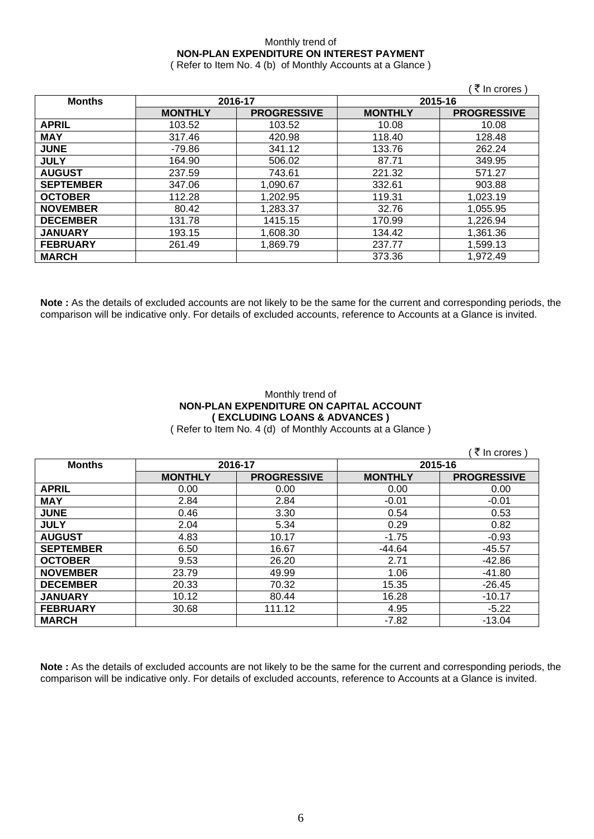### Monthly trend of **NON-PLAN EXPENDITURE ON INTEREST PAYMENT**

( Refer to Item No. 4 (b) of Monthly Accounts at a Glance )

|                  |                |                    |                | ∶₹ In crores )     |
|------------------|----------------|--------------------|----------------|--------------------|
| <b>Months</b>    | 2016-17        |                    | 2015-16        |                    |
|                  | <b>MONTHLY</b> | <b>PROGRESSIVE</b> | <b>MONTHLY</b> | <b>PROGRESSIVE</b> |
| <b>APRIL</b>     | 103.52         | 103.52             | 10.08          | 10.08              |
| <b>MAY</b>       | 317.46         | 420.98             | 118.40         | 128.48             |
| <b>JUNE</b>      | -79.86         | 341.12             | 133.76         | 262.24             |
| <b>JULY</b>      | 164.90         | 506.02             | 87.71          | 349.95             |
| <b>AUGUST</b>    | 237.59         | 743.61             | 221.32         | 571.27             |
| <b>SEPTEMBER</b> | 347.06         | 1,090.67           | 332.61         | 903.88             |
| <b>OCTOBER</b>   | 112.28         | 1,202.95           | 119.31         | 1,023.19           |
| <b>NOVEMBER</b>  | 80.42          | 1,283.37           | 32.76          | 1,055.95           |
| <b>DECEMBER</b>  | 131.78         | 1415.15            | 170.99         | 1,226.94           |
| <b>JANUARY</b>   | 193.15         | 1,608.30           | 134.42         | 1,361.36           |
| <b>FEBRUARY</b>  | 261.49         | 1,869.79           | 237.77         | 1,599.13           |
| <b>MARCH</b>     |                |                    | 373.36         | 1,972.49           |

**Note :** As the details of excluded accounts are not likely to be the same for the current and corresponding periods, the comparison will be indicative only. For details of excluded accounts, reference to Accounts at a Glance is invited.

### Monthly trend of **NON-PLAN EXPENDITURE ON CAPITAL ACCOUNT ( EXCLUDING LOANS & ADVANCES )**

( Refer to Item No. 4 (d) of Monthly Accounts at a Glance )

|                  |                |                    |                | ़₹ In crores )     |
|------------------|----------------|--------------------|----------------|--------------------|
| <b>Months</b>    |                | 2016-17            | 2015-16        |                    |
|                  | <b>MONTHLY</b> | <b>PROGRESSIVE</b> | <b>MONTHLY</b> | <b>PROGRESSIVE</b> |
| <b>APRIL</b>     | 0.00           | 0.00               | 0.00           | 0.00               |
| <b>MAY</b>       | 2.84           | 2.84               | $-0.01$        | $-0.01$            |
| <b>JUNE</b>      | 0.46           | 3.30               | 0.54           | 0.53               |
| <b>JULY</b>      | 2.04           | 5.34               | 0.29           | 0.82               |
| <b>AUGUST</b>    | 4.83           | 10.17              | $-1.75$        | $-0.93$            |
| <b>SEPTEMBER</b> | 6.50           | 16.67              | $-44.64$       | $-45.57$           |
| <b>OCTOBER</b>   | 9.53           | 26.20              | 2.71           | $-42.86$           |
| <b>NOVEMBER</b>  | 23.79          | 49.99              | 1.06           | $-41.80$           |
| <b>DECEMBER</b>  | 20.33          | 70.32              | 15.35          | $-26.45$           |
| <b>JANUARY</b>   | 10.12          | 80.44              | 16.28          | $-10.17$           |
| <b>FEBRUARY</b>  | 30.68          | 111.12             | 4.95           | $-5.22$            |
| <b>MARCH</b>     |                |                    | $-7.82$        | $-13.04$           |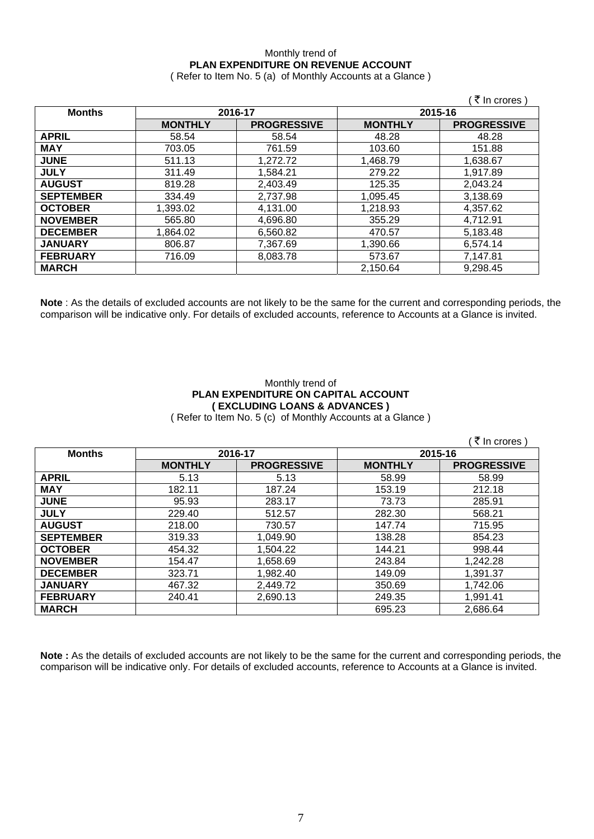## Monthly trend of **PLAN EXPENDITURE ON REVENUE ACCOUNT**

( Refer to Item No. 5 (a) of Monthly Accounts at a Glance )

|                  |                |                    |                | ∶₹ In crores )     |
|------------------|----------------|--------------------|----------------|--------------------|
| <b>Months</b>    | 2016-17        |                    | 2015-16        |                    |
|                  | <b>MONTHLY</b> | <b>PROGRESSIVE</b> | <b>MONTHLY</b> | <b>PROGRESSIVE</b> |
| <b>APRIL</b>     | 58.54          | 58.54              | 48.28          | 48.28              |
| <b>MAY</b>       | 703.05         | 761.59             | 103.60         | 151.88             |
| <b>JUNE</b>      | 511.13         | 1,272.72           | 1,468.79       | 1,638.67           |
| <b>JULY</b>      | 311.49         | 1,584.21           | 279.22         | 1.917.89           |
| <b>AUGUST</b>    | 819.28         | 2,403.49           | 125.35         | 2,043.24           |
| <b>SEPTEMBER</b> | 334.49         | 2,737.98           | 1,095.45       | 3,138.69           |
| <b>OCTOBER</b>   | 1,393.02       | 4,131.00           | 1,218.93       | 4,357.62           |
| <b>NOVEMBER</b>  | 565.80         | 4,696.80           | 355.29         | 4,712.91           |
| <b>DECEMBER</b>  | 1,864.02       | 6,560.82           | 470.57         | 5,183.48           |
| <b>JANUARY</b>   | 806.87         | 7,367.69           | 1,390.66       | 6,574.14           |
| <b>FEBRUARY</b>  | 716.09         | 8,083.78           | 573.67         | 7,147.81           |
| <b>MARCH</b>     |                |                    | 2,150.64       | 9,298.45           |

**Note** : As the details of excluded accounts are not likely to be the same for the current and corresponding periods, the comparison will be indicative only. For details of excluded accounts, reference to Accounts at a Glance is invited.

### Monthly trend of **PLAN EXPENDITURE ON CAPITAL ACCOUNT ( EXCLUDING LOANS & ADVANCES )**

( Refer to Item No. 5 (c) of Monthly Accounts at a Glance )

|                  |                |                    |                | ∶ ₹ In crores)     |
|------------------|----------------|--------------------|----------------|--------------------|
| <b>Months</b>    | 2016-17        |                    | 2015-16        |                    |
|                  | <b>MONTHLY</b> | <b>PROGRESSIVE</b> | <b>MONTHLY</b> | <b>PROGRESSIVE</b> |
| <b>APRIL</b>     | 5.13           | 5.13               | 58.99          | 58.99              |
| <b>MAY</b>       | 182.11         | 187.24             | 153.19         | 212.18             |
| <b>JUNE</b>      | 95.93          | 283.17             | 73.73          | 285.91             |
| <b>JULY</b>      | 229.40         | 512.57             | 282.30         | 568.21             |
| <b>AUGUST</b>    | 218.00         | 730.57             | 147.74         | 715.95             |
| <b>SEPTEMBER</b> | 319.33         | 1,049.90           | 138.28         | 854.23             |
| <b>OCTOBER</b>   | 454.32         | 1,504.22           | 144.21         | 998.44             |
| <b>NOVEMBER</b>  | 154.47         | 1,658.69           | 243.84         | 1,242.28           |
| <b>DECEMBER</b>  | 323.71         | 1,982.40           | 149.09         | 1.391.37           |
| <b>JANUARY</b>   | 467.32         | 2,449.72           | 350.69         | 1,742.06           |
| <b>FEBRUARY</b>  | 240.41         | 2,690.13           | 249.35         | 1,991.41           |
| <b>MARCH</b>     |                |                    | 695.23         | 2,686.64           |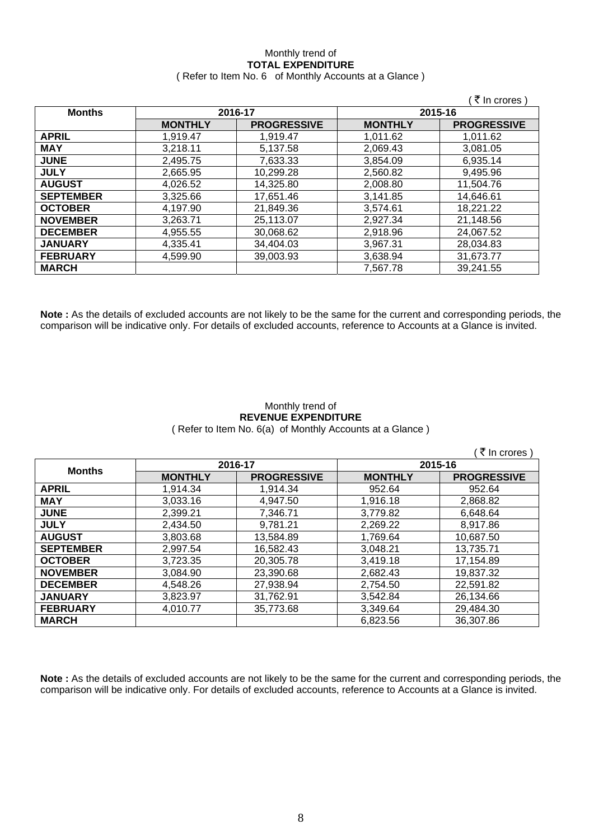# Monthly trend of **TOTAL EXPENDITURE**

|  | (Refer to Item No. 6 of Monthly Accounts at a Glance) |
|--|-------------------------------------------------------|
|--|-------------------------------------------------------|

|                  |                |                    |                | ₹ In crores)       |
|------------------|----------------|--------------------|----------------|--------------------|
| <b>Months</b>    | 2016-17        |                    |                | 2015-16            |
|                  | <b>MONTHLY</b> | <b>PROGRESSIVE</b> | <b>MONTHLY</b> | <b>PROGRESSIVE</b> |
| <b>APRIL</b>     | 1,919.47       | 1.919.47           | 1,011.62       | 1,011.62           |
| <b>MAY</b>       | 3,218.11       | 5,137.58           | 2,069.43       | 3,081.05           |
| <b>JUNE</b>      | 2,495.75       | 7,633.33           | 3,854.09       | 6,935.14           |
| <b>JULY</b>      | 2,665.95       | 10,299.28          | 2.560.82       | 9,495.96           |
| <b>AUGUST</b>    | 4.026.52       | 14.325.80          | 2,008.80       | 11,504.76          |
| <b>SEPTEMBER</b> | 3,325.66       | 17,651.46          | 3,141.85       | 14,646.61          |
| <b>OCTOBER</b>   | 4.197.90       | 21.849.36          | 3,574.61       | 18,221.22          |
| <b>NOVEMBER</b>  | 3,263.71       | 25,113.07          | 2,927.34       | 21,148.56          |
| <b>DECEMBER</b>  | 4,955.55       | 30,068.62          | 2,918.96       | 24,067.52          |
| <b>JANUARY</b>   | 4,335.41       | 34,404.03          | 3.967.31       | 28,034.83          |
| <b>FEBRUARY</b>  | 4.599.90       | 39,003.93          | 3,638.94       | 31,673.77          |
| <b>MARCH</b>     |                |                    | 7,567.78       | 39,241.55          |

**Note :** As the details of excluded accounts are not likely to be the same for the current and corresponding periods, the comparison will be indicative only. For details of excluded accounts, reference to Accounts at a Glance is invited.

### Monthly trend of **REVENUE EXPENDITURE**  ( Refer to Item No. 6(a) of Monthly Accounts at a Glance )

|                  |                |                    |                | ं ₹ In crores `    |  |
|------------------|----------------|--------------------|----------------|--------------------|--|
| <b>Months</b>    | 2016-17        |                    |                | 2015-16            |  |
|                  | <b>MONTHLY</b> | <b>PROGRESSIVE</b> | <b>MONTHLY</b> | <b>PROGRESSIVE</b> |  |
| <b>APRIL</b>     | 1,914.34       | 1,914.34           | 952.64         | 952.64             |  |
| <b>MAY</b>       | 3,033.16       | 4,947.50           | 1,916.18       | 2,868.82           |  |
| <b>JUNE</b>      | 2,399.21       | 7,346.71           | 3,779.82       | 6,648.64           |  |
| <b>JULY</b>      | 2,434.50       | 9,781.21           | 2,269.22       | 8,917.86           |  |
| <b>AUGUST</b>    | 3,803.68       | 13,584.89          | 1,769.64       | 10,687.50          |  |
| <b>SEPTEMBER</b> | 2,997.54       | 16,582.43          | 3,048.21       | 13,735.71          |  |
| <b>OCTOBER</b>   | 3,723.35       | 20,305.78          | 3,419.18       | 17,154.89          |  |
| <b>NOVEMBER</b>  | 3,084.90       | 23,390.68          | 2.682.43       | 19,837.32          |  |
| <b>DECEMBER</b>  | 4.548.26       | 27,938.94          | 2.754.50       | 22.591.82          |  |
| <b>JANUARY</b>   | 3,823.97       | 31,762.91          | 3,542.84       | 26,134.66          |  |
| <b>FEBRUARY</b>  | 4.010.77       | 35,773.68          | 3.349.64       | 29.484.30          |  |
| <b>MARCH</b>     |                |                    | 6,823.56       | 36,307.86          |  |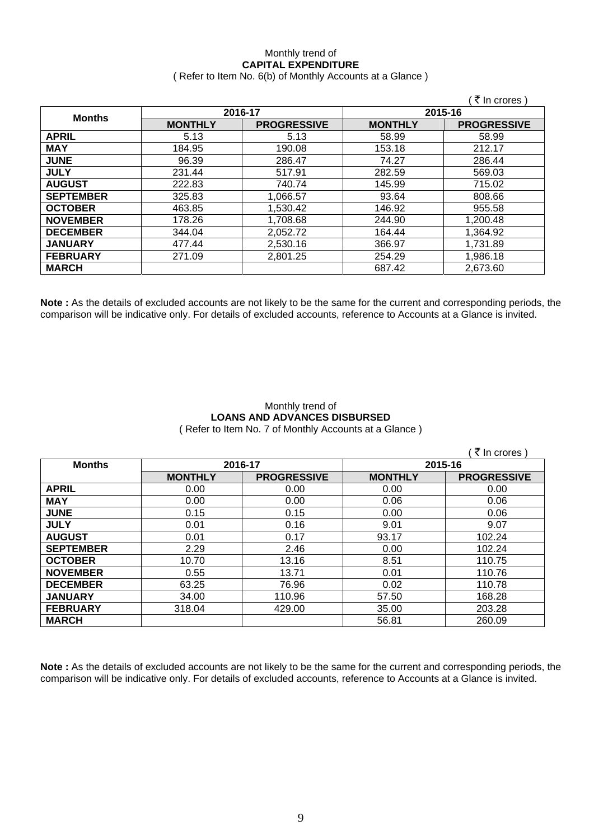### Monthly trend of **CAPITAL EXPENDITURE**  ( Refer to Item No. 6(b) of Monthly Accounts at a Glance )

|                  |                |                    |                | े ₹ In crores )    |  |
|------------------|----------------|--------------------|----------------|--------------------|--|
| <b>Months</b>    | 2016-17        |                    |                | 2015-16            |  |
|                  | <b>MONTHLY</b> | <b>PROGRESSIVE</b> | <b>MONTHLY</b> | <b>PROGRESSIVE</b> |  |
| <b>APRIL</b>     | 5.13           | 5.13               | 58.99          | 58.99              |  |
| <b>MAY</b>       | 184.95         | 190.08             | 153.18         | 212.17             |  |
| <b>JUNE</b>      | 96.39          | 286.47             | 74.27          | 286.44             |  |
| <b>JULY</b>      | 231.44         | 517.91             | 282.59         | 569.03             |  |
| <b>AUGUST</b>    | 222.83         | 740.74             | 145.99         | 715.02             |  |
| <b>SEPTEMBER</b> | 325.83         | 1,066.57           | 93.64          | 808.66             |  |
| <b>OCTOBER</b>   | 463.85         | 1,530.42           | 146.92         | 955.58             |  |
| <b>NOVEMBER</b>  | 178.26         | 1,708.68           | 244.90         | 1,200.48           |  |
| <b>DECEMBER</b>  | 344.04         | 2,052.72           | 164.44         | 1,364.92           |  |
| <b>JANUARY</b>   | 477.44         | 2,530.16           | 366.97         | 1,731.89           |  |
| <b>FEBRUARY</b>  | 271.09         | 2,801.25           | 254.29         | 1,986.18           |  |
| <b>MARCH</b>     |                |                    | 687.42         | 2,673.60           |  |

**Note :** As the details of excluded accounts are not likely to be the same for the current and corresponding periods, the comparison will be indicative only. For details of excluded accounts, reference to Accounts at a Glance is invited.

### Monthly trend of **LOANS AND ADVANCES DISBURSED**  ( Refer to Item No. 7 of Monthly Accounts at a Glance )

|                  |                |                    |                | ₹ In crores)       |
|------------------|----------------|--------------------|----------------|--------------------|
| <b>Months</b>    | 2016-17        |                    | 2015-16        |                    |
|                  | <b>MONTHLY</b> | <b>PROGRESSIVE</b> | <b>MONTHLY</b> | <b>PROGRESSIVE</b> |
| <b>APRIL</b>     | 0.00           | 0.00               | 0.00           | 0.00               |
| <b>MAY</b>       | 0.00           | 0.00               | 0.06           | 0.06               |
| <b>JUNE</b>      | 0.15           | 0.15               | 0.00           | 0.06               |
| <b>JULY</b>      | 0.01           | 0.16               | 9.01           | 9.07               |
| <b>AUGUST</b>    | 0.01           | 0.17               | 93.17          | 102.24             |
| <b>SEPTEMBER</b> | 2.29           | 2.46               | 0.00           | 102.24             |
| <b>OCTOBER</b>   | 10.70          | 13.16              | 8.51           | 110.75             |
| <b>NOVEMBER</b>  | 0.55           | 13.71              | 0.01           | 110.76             |
| <b>DECEMBER</b>  | 63.25          | 76.96              | 0.02           | 110.78             |
| <b>JANUARY</b>   | 34.00          | 110.96             | 57.50          | 168.28             |
| <b>FEBRUARY</b>  | 318.04         | 429.00             | 35.00          | 203.28             |
| <b>MARCH</b>     |                |                    | 56.81          | 260.09             |